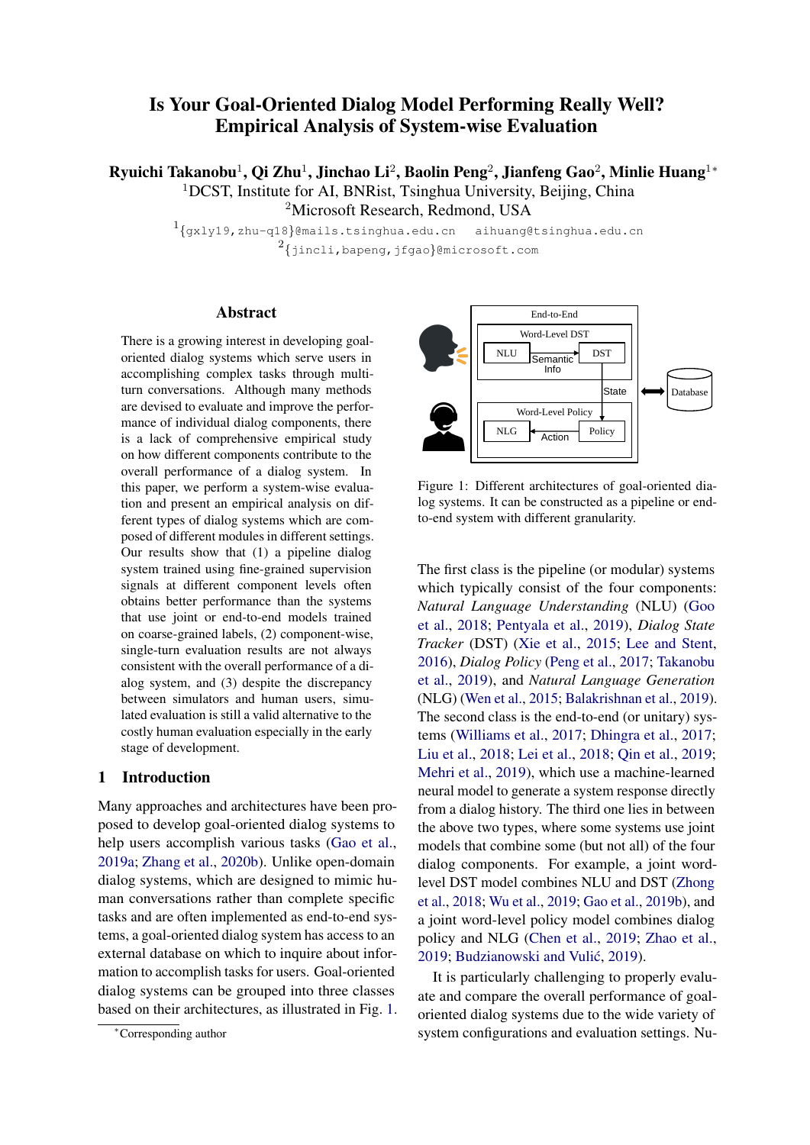# Is Your Goal-Oriented Dialog Model Performing Really Well? Empirical Analysis of System-wise Evaluation

Ryuichi Takanobu $^1$ , Qi Zhu $^1$ , Jinchao Li $^2$ , Baolin Peng $^2$ , Jianfeng Gao $^2$ , Minlie Huang $^{1\ast}$ <sup>1</sup>DCST, Institute for AI, BNRist, Tsinghua University, Beijing, China <sup>2</sup>Microsoft Research, Redmond, USA

> $1_{\left\{ \text{gxly19, zhu-q18} \right\}}$ @mails.tsinghua.edu.cn aihuang@tsinghua.edu.cn  $^{2}$ {jincli,bapeng,jfgao}@microsoft.com

## Abstract

There is a growing interest in developing goaloriented dialog systems which serve users in accomplishing complex tasks through multiturn conversations. Although many methods are devised to evaluate and improve the performance of individual dialog components, there is a lack of comprehensive empirical study on how different components contribute to the overall performance of a dialog system. In this paper, we perform a system-wise evaluation and present an empirical analysis on different types of dialog systems which are composed of different modules in different settings. Our results show that (1) a pipeline dialog system trained using fine-grained supervision signals at different component levels often obtains better performance than the systems that use joint or end-to-end models trained on coarse-grained labels, (2) component-wise, single-turn evaluation results are not always consistent with the overall performance of a dialog system, and (3) despite the discrepancy between simulators and human users, simulated evaluation is still a valid alternative to the costly human evaluation especially in the early stage of development.

## 1 Introduction

Many approaches and architectures have been proposed to develop goal-oriented dialog systems to help users accomplish various tasks [\(Gao et al.,](#page-9-0) [2019a;](#page-9-0) [Zhang et al.,](#page-11-0) [2020b\)](#page-11-0). Unlike open-domain dialog systems, which are designed to mimic human conversations rather than complete specific tasks and are often implemented as end-to-end systems, a goal-oriented dialog system has access to an external database on which to inquire about information to accomplish tasks for users. Goal-oriented dialog systems can be grouped into three classes based on their architectures, as illustrated in Fig. [1.](#page-0-0)

<span id="page-0-0"></span>

Figure 1: Different architectures of goal-oriented dialog systems. It can be constructed as a pipeline or endto-end system with different granularity.

The first class is the pipeline (or modular) systems which typically consist of the four components: *Natural Language Understanding* (NLU) [\(Goo](#page-9-1) [et al.,](#page-9-1) [2018;](#page-9-1) [Pentyala et al.,](#page-10-0) [2019\)](#page-10-0), *Dialog State Tracker* (DST) [\(Xie et al.,](#page-11-1) [2015;](#page-11-1) [Lee and Stent,](#page-10-1) [2016\)](#page-10-1), *Dialog Policy* [\(Peng et al.,](#page-10-2) [2017;](#page-10-2) [Takanobu](#page-11-2) [et al.,](#page-11-2) [2019\)](#page-11-2), and *Natural Language Generation* (NLG) [\(Wen et al.,](#page-11-3) [2015;](#page-11-3) [Balakrishnan et al.,](#page-9-2) [2019\)](#page-9-2). The second class is the end-to-end (or unitary) systems [\(Williams et al.,](#page-11-4) [2017;](#page-11-4) [Dhingra et al.,](#page-9-3) [2017;](#page-9-3) [Liu et al.,](#page-10-3) [2018;](#page-10-3) [Lei et al.,](#page-10-4) [2018;](#page-10-4) [Qin et al.,](#page-10-5) [2019;](#page-10-5) [Mehri et al.,](#page-10-6) [2019\)](#page-10-6), which use a machine-learned neural model to generate a system response directly from a dialog history. The third one lies in between the above two types, where some systems use joint models that combine some (but not all) of the four dialog components. For example, a joint wordlevel DST model combines NLU and DST [\(Zhong](#page-11-5) [et al.,](#page-11-5) [2018;](#page-11-5) [Wu et al.,](#page-11-6) [2019;](#page-11-6) [Gao et al.,](#page-9-4) [2019b\)](#page-9-4), and a joint word-level policy model combines dialog policy and NLG [\(Chen et al.,](#page-9-5) [2019;](#page-9-5) [Zhao et al.,](#page-11-7) [2019;](#page-11-7) Budzianowski and Vulić, [2019\)](#page-9-6).

It is particularly challenging to properly evaluate and compare the overall performance of goaloriented dialog systems due to the wide variety of system configurations and evaluation settings. Nu-

<sup>∗</sup>Corresponding author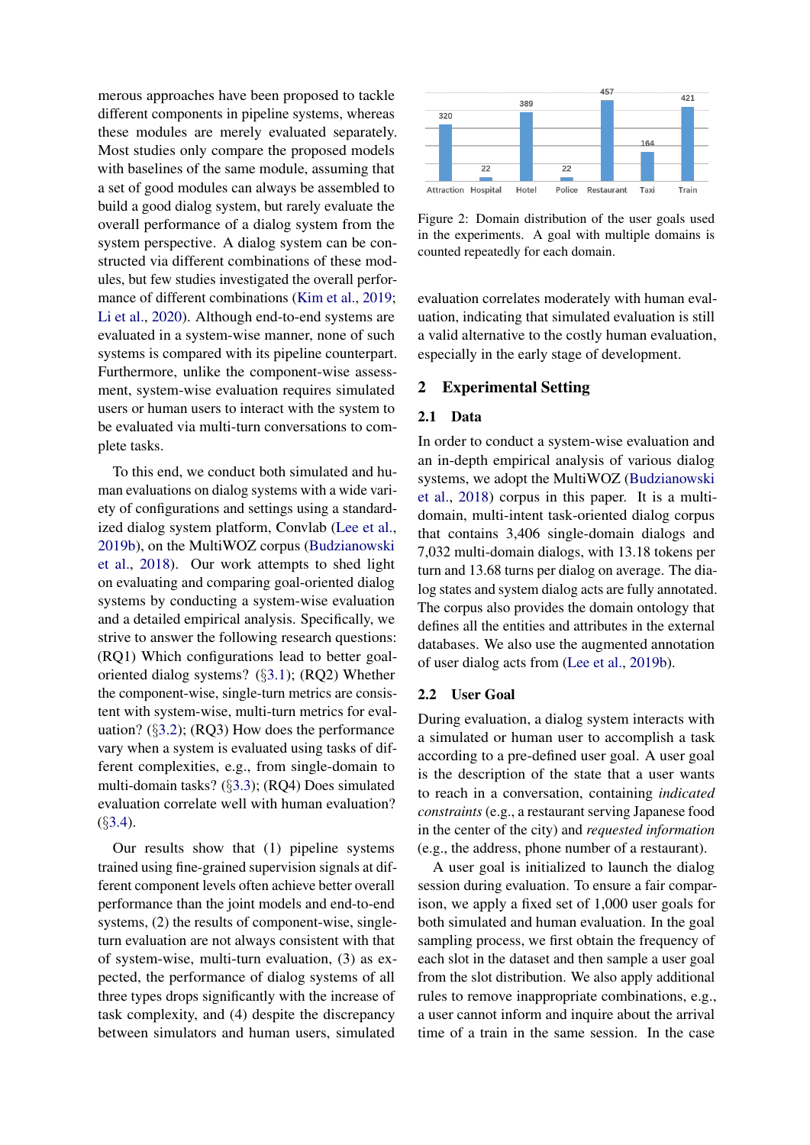merous approaches have been proposed to tackle different components in pipeline systems, whereas these modules are merely evaluated separately. Most studies only compare the proposed models with baselines of the same module, assuming that a set of good modules can always be assembled to build a good dialog system, but rarely evaluate the overall performance of a dialog system from the system perspective. A dialog system can be constructed via different combinations of these modules, but few studies investigated the overall perfor-mance of different combinations [\(Kim et al.,](#page-9-7) [2019;](#page-9-7) [Li et al.,](#page-10-7) [2020\)](#page-10-7). Although end-to-end systems are evaluated in a system-wise manner, none of such systems is compared with its pipeline counterpart. Furthermore, unlike the component-wise assessment, system-wise evaluation requires simulated users or human users to interact with the system to be evaluated via multi-turn conversations to complete tasks.

To this end, we conduct both simulated and human evaluations on dialog systems with a wide variety of configurations and settings using a standardized dialog system platform, Convlab [\(Lee et al.,](#page-10-8) [2019b\)](#page-10-8), on the MultiWOZ corpus [\(Budzianowski](#page-9-8) [et al.,](#page-9-8) [2018\)](#page-9-8). Our work attempts to shed light on evaluating and comparing goal-oriented dialog systems by conducting a system-wise evaluation and a detailed empirical analysis. Specifically, we strive to answer the following research questions: (RQ1) Which configurations lead to better goaloriented dialog systems? (§[3.1\)](#page-3-0); (RQ2) Whether the component-wise, single-turn metrics are consistent with system-wise, multi-turn metrics for evaluation? (§[3.2\)](#page-5-0); (RQ3) How does the performance vary when a system is evaluated using tasks of different complexities, e.g., from single-domain to multi-domain tasks? (§[3.3\)](#page-6-0); (RQ4) Does simulated evaluation correlate well with human evaluation? (§[3.4\)](#page-7-0).

Our results show that (1) pipeline systems trained using fine-grained supervision signals at different component levels often achieve better overall performance than the joint models and end-to-end systems, (2) the results of component-wise, singleturn evaluation are not always consistent with that of system-wise, multi-turn evaluation, (3) as expected, the performance of dialog systems of all three types drops significantly with the increase of task complexity, and (4) despite the discrepancy between simulators and human users, simulated

<span id="page-1-0"></span>

Figure 2: Domain distribution of the user goals used in the experiments. A goal with multiple domains is counted repeatedly for each domain.

evaluation correlates moderately with human evaluation, indicating that simulated evaluation is still a valid alternative to the costly human evaluation, especially in the early stage of development.

## 2 Experimental Setting

## 2.1 Data

In order to conduct a system-wise evaluation and an in-depth empirical analysis of various dialog systems, we adopt the MultiWOZ [\(Budzianowski](#page-9-8) [et al.,](#page-9-8) [2018\)](#page-9-8) corpus in this paper. It is a multidomain, multi-intent task-oriented dialog corpus that contains 3,406 single-domain dialogs and 7,032 multi-domain dialogs, with 13.18 tokens per turn and 13.68 turns per dialog on average. The dialog states and system dialog acts are fully annotated. The corpus also provides the domain ontology that defines all the entities and attributes in the external databases. We also use the augmented annotation of user dialog acts from [\(Lee et al.,](#page-10-8) [2019b\)](#page-10-8).

## 2.2 User Goal

During evaluation, a dialog system interacts with a simulated or human user to accomplish a task according to a pre-defined user goal. A user goal is the description of the state that a user wants to reach in a conversation, containing *indicated constraints* (e.g., a restaurant serving Japanese food in the center of the city) and *requested information* (e.g., the address, phone number of a restaurant).

A user goal is initialized to launch the dialog session during evaluation. To ensure a fair comparison, we apply a fixed set of 1,000 user goals for both simulated and human evaluation. In the goal sampling process, we first obtain the frequency of each slot in the dataset and then sample a user goal from the slot distribution. We also apply additional rules to remove inappropriate combinations, e.g., a user cannot inform and inquire about the arrival time of a train in the same session. In the case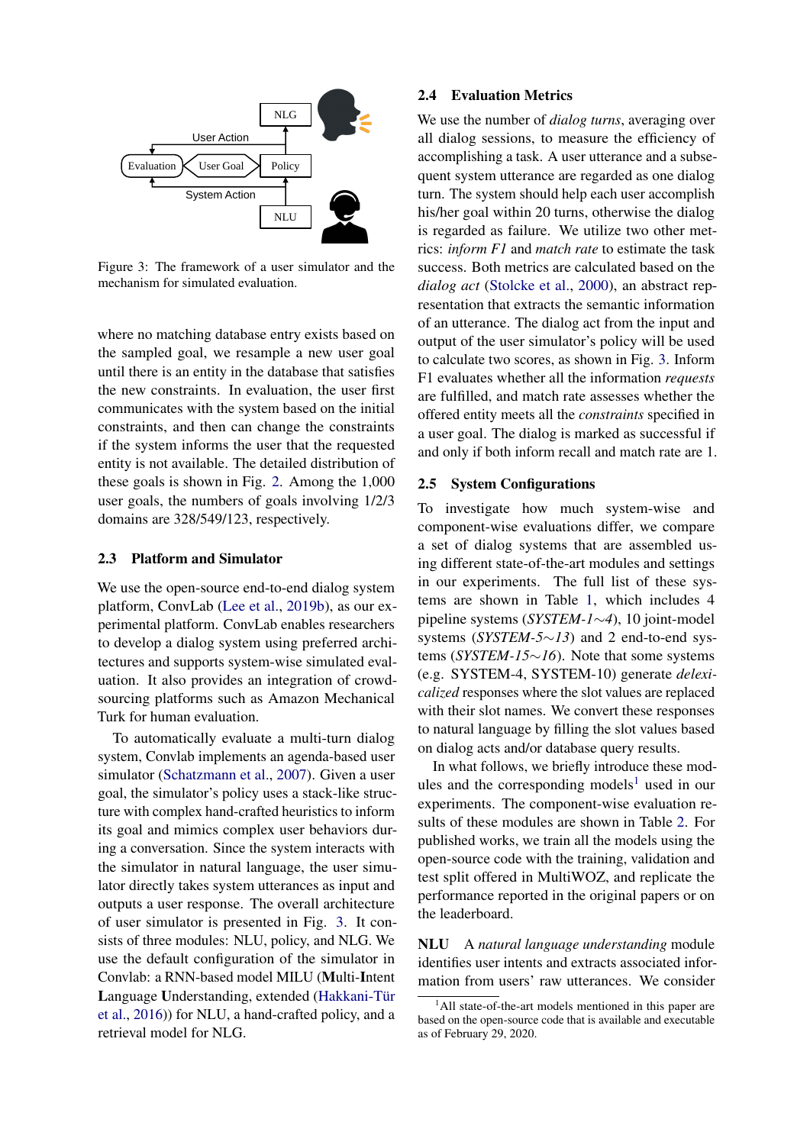<span id="page-2-0"></span>

Figure 3: The framework of a user simulator and the mechanism for simulated evaluation.

where no matching database entry exists based on the sampled goal, we resample a new user goal until there is an entity in the database that satisfies the new constraints. In evaluation, the user first communicates with the system based on the initial constraints, and then can change the constraints if the system informs the user that the requested entity is not available. The detailed distribution of these goals is shown in Fig. [2.](#page-1-0) Among the 1,000 user goals, the numbers of goals involving 1/2/3 domains are 328/549/123, respectively.

#### 2.3 Platform and Simulator

We use the open-source end-to-end dialog system platform, ConvLab [\(Lee et al.,](#page-10-8) [2019b\)](#page-10-8), as our experimental platform. ConvLab enables researchers to develop a dialog system using preferred architectures and supports system-wise simulated evaluation. It also provides an integration of crowdsourcing platforms such as Amazon Mechanical Turk for human evaluation.

To automatically evaluate a multi-turn dialog system, Convlab implements an agenda-based user simulator [\(Schatzmann et al.,](#page-10-9) [2007\)](#page-10-9). Given a user goal, the simulator's policy uses a stack-like structure with complex hand-crafted heuristics to inform its goal and mimics complex user behaviors during a conversation. Since the system interacts with the simulator in natural language, the user simulator directly takes system utterances as input and outputs a user response. The overall architecture of user simulator is presented in Fig. [3.](#page-2-0) It consists of three modules: NLU, policy, and NLG. We use the default configuration of the simulator in Convlab: a RNN-based model MILU (Multi-Intent Language Understanding, extended (Hakkani-Tür [et al.,](#page-9-9) [2016\)](#page-9-9)) for NLU, a hand-crafted policy, and a retrieval model for NLG.

#### 2.4 Evaluation Metrics

We use the number of *dialog turns*, averaging over all dialog sessions, to measure the efficiency of accomplishing a task. A user utterance and a subsequent system utterance are regarded as one dialog turn. The system should help each user accomplish his/her goal within 20 turns, otherwise the dialog is regarded as failure. We utilize two other metrics: *inform F1* and *match rate* to estimate the task success. Both metrics are calculated based on the *dialog act* [\(Stolcke et al.,](#page-10-10) [2000\)](#page-10-10), an abstract representation that extracts the semantic information of an utterance. The dialog act from the input and output of the user simulator's policy will be used to calculate two scores, as shown in Fig. [3.](#page-2-0) Inform F1 evaluates whether all the information *requests* are fulfilled, and match rate assesses whether the offered entity meets all the *constraints* specified in a user goal. The dialog is marked as successful if and only if both inform recall and match rate are 1.

## 2.5 System Configurations

To investigate how much system-wise and component-wise evaluations differ, we compare a set of dialog systems that are assembled using different state-of-the-art modules and settings in our experiments. The full list of these systems are shown in Table [1,](#page-4-0) which includes 4 pipeline systems (*SYSTEM-1*∼*4*), 10 joint-model systems (*SYSTEM-5*∼*13*) and 2 end-to-end systems (*SYSTEM-15*∼*16*). Note that some systems (e.g. SYSTEM-4, SYSTEM-10) generate *delexicalized* responses where the slot values are replaced with their slot names. We convert these responses to natural language by filling the slot values based on dialog acts and/or database query results.

In what follows, we briefly introduce these mod-ules and the corresponding models<sup>[1](#page-2-1)</sup> used in our experiments. The component-wise evaluation results of these modules are shown in Table [2.](#page-5-1) For published works, we train all the models using the open-source code with the training, validation and test split offered in MultiWOZ, and replicate the performance reported in the original papers or on the leaderboard.

NLU A *natural language understanding* module identifies user intents and extracts associated information from users' raw utterances. We consider

<span id="page-2-1"></span><sup>&</sup>lt;sup>1</sup>All state-of-the-art models mentioned in this paper are based on the open-source code that is available and executable as of February 29, 2020.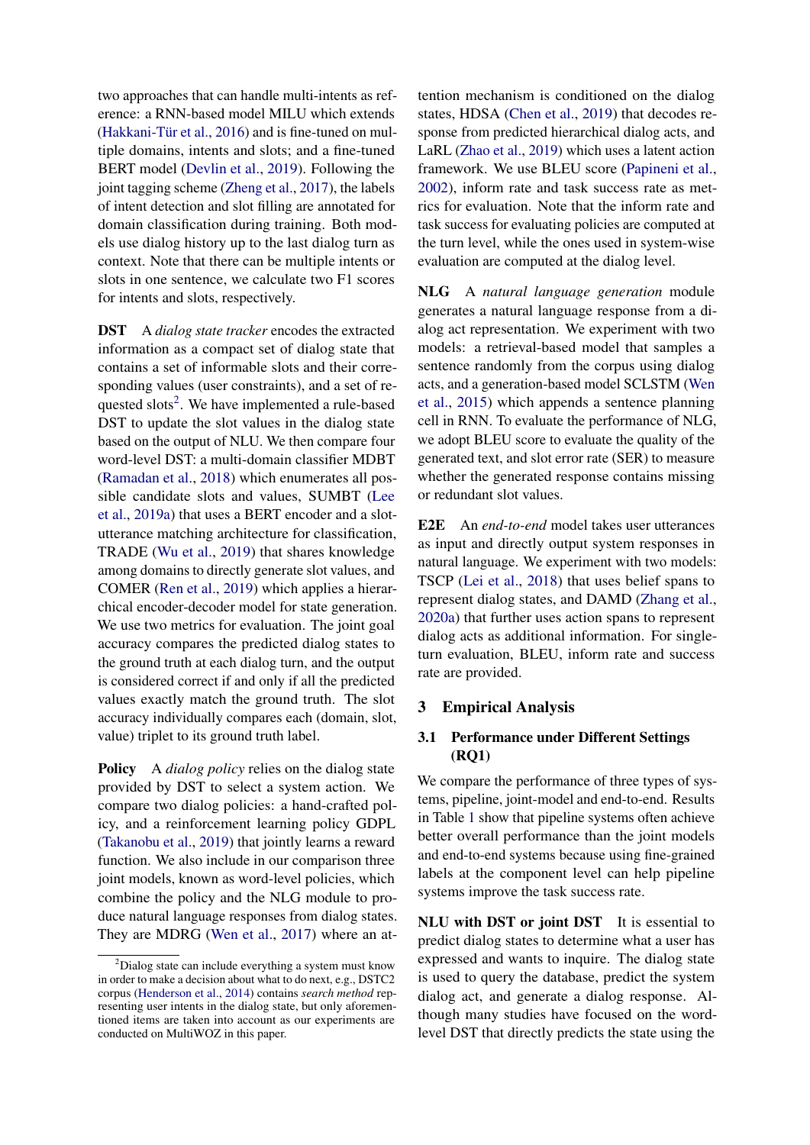two approaches that can handle multi-intents as reference: a RNN-based model MILU which extends (Hakkani-Tür et al.,  $2016$ ) and is fine-tuned on multiple domains, intents and slots; and a fine-tuned BERT model [\(Devlin et al.,](#page-9-10) [2019\)](#page-9-10). Following the joint tagging scheme [\(Zheng et al.,](#page-11-8) [2017\)](#page-11-8), the labels of intent detection and slot filling are annotated for domain classification during training. Both models use dialog history up to the last dialog turn as context. Note that there can be multiple intents or slots in one sentence, we calculate two F1 scores for intents and slots, respectively.

DST A *dialog state tracker* encodes the extracted information as a compact set of dialog state that contains a set of informable slots and their corresponding values (user constraints), and a set of re-quested slots<sup>[2](#page-3-1)</sup>. We have implemented a rule-based DST to update the slot values in the dialog state based on the output of NLU. We then compare four word-level DST: a multi-domain classifier MDBT [\(Ramadan et al.,](#page-10-11) [2018\)](#page-10-11) which enumerates all possible candidate slots and values, SUMBT [\(Lee](#page-9-11) [et al.,](#page-9-11) [2019a\)](#page-9-11) that uses a BERT encoder and a slotutterance matching architecture for classification, TRADE [\(Wu et al.,](#page-11-6) [2019\)](#page-11-6) that shares knowledge among domains to directly generate slot values, and COMER [\(Ren et al.,](#page-10-12) [2019\)](#page-10-12) which applies a hierarchical encoder-decoder model for state generation. We use two metrics for evaluation. The joint goal accuracy compares the predicted dialog states to the ground truth at each dialog turn, and the output is considered correct if and only if all the predicted values exactly match the ground truth. The slot accuracy individually compares each (domain, slot, value) triplet to its ground truth label.

**Policy** A *dialog policy* relies on the dialog state provided by DST to select a system action. We compare two dialog policies: a hand-crafted policy, and a reinforcement learning policy GDPL [\(Takanobu et al.,](#page-11-2) [2019\)](#page-11-2) that jointly learns a reward function. We also include in our comparison three joint models, known as word-level policies, which combine the policy and the NLG module to produce natural language responses from dialog states. They are MDRG [\(Wen et al.,](#page-11-9) [2017\)](#page-11-9) where an at-

tention mechanism is conditioned on the dialog states, HDSA [\(Chen et al.,](#page-9-5) [2019\)](#page-9-5) that decodes response from predicted hierarchical dialog acts, and LaRL [\(Zhao et al.,](#page-11-7) [2019\)](#page-11-7) which uses a latent action framework. We use BLEU score [\(Papineni et al.,](#page-10-13) [2002\)](#page-10-13), inform rate and task success rate as metrics for evaluation. Note that the inform rate and task success for evaluating policies are computed at the turn level, while the ones used in system-wise evaluation are computed at the dialog level.

NLG A *natural language generation* module generates a natural language response from a dialog act representation. We experiment with two models: a retrieval-based model that samples a sentence randomly from the corpus using dialog acts, and a generation-based model SCLSTM [\(Wen](#page-11-3) [et al.,](#page-11-3) [2015\)](#page-11-3) which appends a sentence planning cell in RNN. To evaluate the performance of NLG, we adopt BLEU score to evaluate the quality of the generated text, and slot error rate (SER) to measure whether the generated response contains missing or redundant slot values.

E2E An *end-to-end* model takes user utterances as input and directly output system responses in natural language. We experiment with two models: TSCP [\(Lei et al.,](#page-10-4) [2018\)](#page-10-4) that uses belief spans to represent dialog states, and DAMD [\(Zhang et al.,](#page-11-10) [2020a\)](#page-11-10) that further uses action spans to represent dialog acts as additional information. For singleturn evaluation, BLEU, inform rate and success rate are provided.

## 3 Empirical Analysis

# <span id="page-3-0"></span>3.1 Performance under Different Settings (RQ1)

We compare the performance of three types of systems, pipeline, joint-model and end-to-end. Results in Table [1](#page-4-0) show that pipeline systems often achieve better overall performance than the joint models and end-to-end systems because using fine-grained labels at the component level can help pipeline systems improve the task success rate.

NLU with DST or joint DST It is essential to predict dialog states to determine what a user has expressed and wants to inquire. The dialog state is used to query the database, predict the system dialog act, and generate a dialog response. Although many studies have focused on the wordlevel DST that directly predicts the state using the

<span id="page-3-1"></span><sup>2</sup>Dialog state can include everything a system must know in order to make a decision about what to do next, e.g., DSTC2 corpus [\(Henderson et al.,](#page-9-12) [2014\)](#page-9-12) contains *search method* representing user intents in the dialog state, but only aforementioned items are taken into account as our experiments are conducted on MultiWOZ in this paper.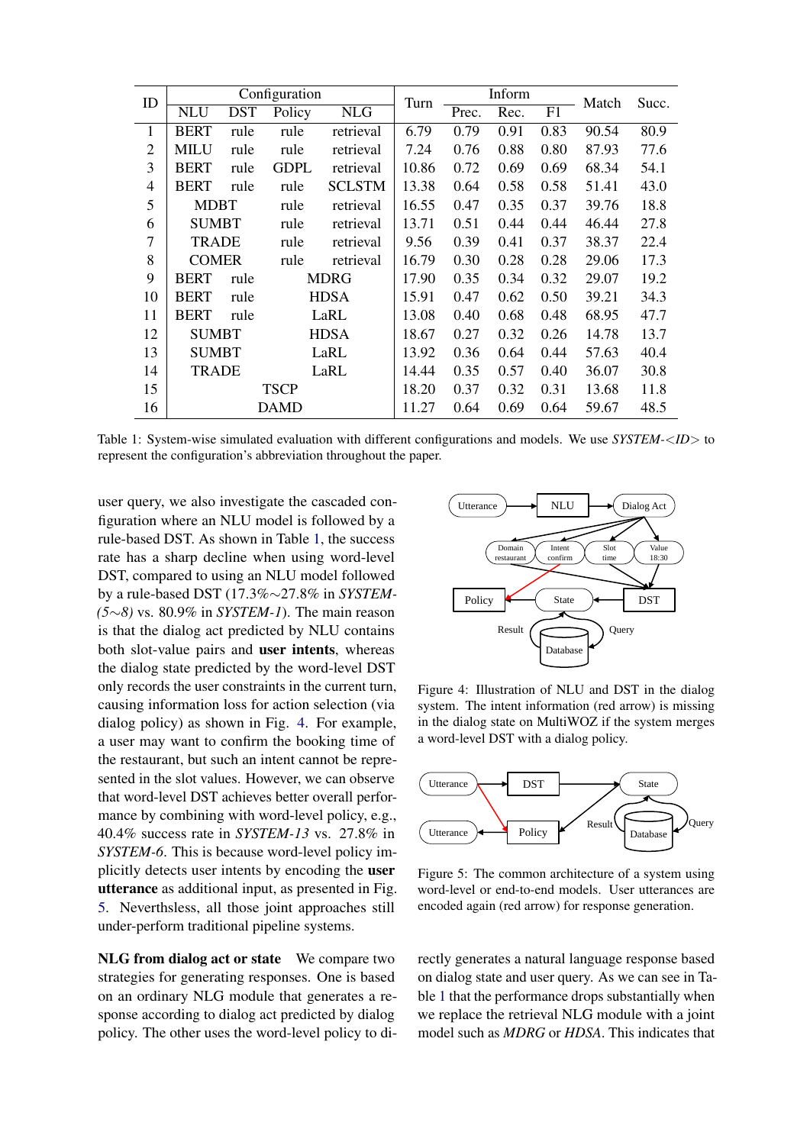<span id="page-4-0"></span>

| ID             |              | Turn                        |             | Inform        | Match | Succ. |      |      |       |      |
|----------------|--------------|-----------------------------|-------------|---------------|-------|-------|------|------|-------|------|
|                | <b>NLU</b>   | <b>DST</b>                  | Policy      | <b>NLG</b>    |       | Prec. | Rec. | F1   |       |      |
| 1              | <b>BERT</b>  | rule                        | rule        | retrieval     | 6.79  | 0.79  | 0.91 | 0.83 | 90.54 | 80.9 |
| $\overline{2}$ | <b>MILU</b>  | rule                        | rule        | retrieval     | 7.24  | 0.76  | 0.88 | 0.80 | 87.93 | 77.6 |
| 3              | <b>BERT</b>  | rule                        | <b>GDPL</b> | retrieval     | 10.86 | 0.72  | 0.69 | 0.69 | 68.34 | 54.1 |
| $\overline{4}$ | <b>BERT</b>  | rule                        | rule        | <b>SCLSTM</b> | 13.38 | 0.64  | 0.58 | 0.58 | 51.41 | 43.0 |
| 5              | <b>MDBT</b>  |                             | rule        | retrieval     | 16.55 | 0.47  | 0.35 | 0.37 | 39.76 | 18.8 |
| 6              | <b>SUMBT</b> |                             | rule        | retrieval     | 13.71 | 0.51  | 0.44 | 0.44 | 46.44 | 27.8 |
| 7              | <b>TRADE</b> |                             | rule        | retrieval     | 9.56  | 0.39  | 0.41 | 0.37 | 38.37 | 22.4 |
| 8              | <b>COMER</b> |                             | rule        | retrieval     | 16.79 | 0.30  | 0.28 | 0.28 | 29.06 | 17.3 |
| 9              | <b>BERT</b>  | rule                        |             | MDRG          | 17.90 | 0.35  | 0.34 | 0.32 | 29.07 | 19.2 |
| 10             | <b>BERT</b>  | rule                        |             | <b>HDSA</b>   | 15.91 | 0.47  | 0.62 | 0.50 | 39.21 | 34.3 |
| 11             | <b>BERT</b>  | rule                        |             | LaRL          | 13.08 | 0.40  | 0.68 | 0.48 | 68.95 | 47.7 |
| 12             |              | <b>SUMBT</b><br><b>HDSA</b> |             |               | 18.67 | 0.27  | 0.32 | 0.26 | 14.78 | 13.7 |
| 13             |              | <b>SUMBT</b>                |             | LaRL          | 13.92 | 0.36  | 0.64 | 0.44 | 57.63 | 40.4 |
| 14             | <b>TRADE</b> |                             | LaRL        |               | 14.44 | 0.35  | 0.57 | 0.40 | 36.07 | 30.8 |
| 15             |              | <b>TSCP</b>                 |             |               |       | 0.37  | 0.32 | 0.31 | 13.68 | 11.8 |
| 16             |              |                             | DAMD        |               | 11.27 | 0.64  | 0.69 | 0.64 | 59.67 | 48.5 |

Table 1: System-wise simulated evaluation with different configurations and models. We use *SYSTEM-*<*ID*> to represent the configuration's abbreviation throughout the paper.

user query, we also investigate the cascaded configuration where an NLU model is followed by a rule-based DST. As shown in Table [1,](#page-4-0) the success rate has a sharp decline when using word-level DST, compared to using an NLU model followed by a rule-based DST (17.3%∼27.8% in *SYSTEM- (5*∼*8)* vs. 80.9% in *SYSTEM-1*). The main reason is that the dialog act predicted by NLU contains both slot-value pairs and user intents, whereas the dialog state predicted by the word-level DST only records the user constraints in the current turn, causing information loss for action selection (via dialog policy) as shown in Fig. [4.](#page-4-1) For example, a user may want to confirm the booking time of the restaurant, but such an intent cannot be represented in the slot values. However, we can observe that word-level DST achieves better overall performance by combining with word-level policy, e.g., 40.4% success rate in *SYSTEM-13* vs. 27.8% in *SYSTEM-6*. This is because word-level policy implicitly detects user intents by encoding the user utterance as additional input, as presented in Fig. [5.](#page-4-2) Neverthsless, all those joint approaches still under-perform traditional pipeline systems.

NLG from dialog act or state We compare two strategies for generating responses. One is based on an ordinary NLG module that generates a response according to dialog act predicted by dialog policy. The other uses the word-level policy to di-

<span id="page-4-1"></span>

Figure 4: Illustration of NLU and DST in the dialog system. The intent information (red arrow) is missing in the dialog state on MultiWOZ if the system merges a word-level DST with a dialog policy.

<span id="page-4-2"></span>

Figure 5: The common architecture of a system using word-level or end-to-end models. User utterances are encoded again (red arrow) for response generation.

rectly generates a natural language response based on dialog state and user query. As we can see in Table [1](#page-4-0) that the performance drops substantially when we replace the retrieval NLG module with a joint model such as *MDRG* or *HDSA*. This indicates that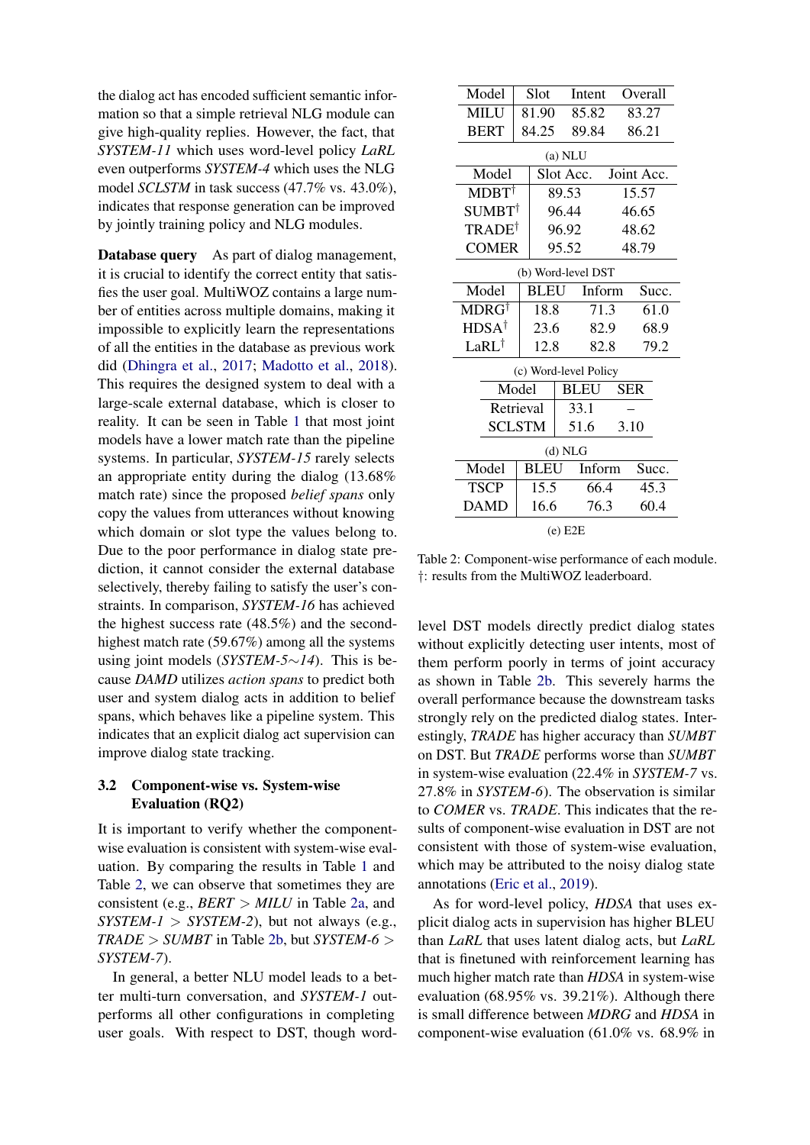the dialog act has encoded sufficient semantic information so that a simple retrieval NLG module can give high-quality replies. However, the fact, that *SYSTEM-11* which uses word-level policy *LaRL* even outperforms *SYSTEM-4* which uses the NLG model *SCLSTM* in task success (47.7% vs. 43.0%), indicates that response generation can be improved by jointly training policy and NLG modules.

Database query As part of dialog management, it is crucial to identify the correct entity that satisfies the user goal. MultiWOZ contains a large number of entities across multiple domains, making it impossible to explicitly learn the representations of all the entities in the database as previous work did [\(Dhingra et al.,](#page-9-3) [2017;](#page-9-3) [Madotto et al.,](#page-10-14) [2018\)](#page-10-14). This requires the designed system to deal with a large-scale external database, which is closer to reality. It can be seen in Table [1](#page-4-0) that most joint models have a lower match rate than the pipeline systems. In particular, *SYSTEM-15* rarely selects an appropriate entity during the dialog (13.68% match rate) since the proposed *belief spans* only copy the values from utterances without knowing which domain or slot type the values belong to. Due to the poor performance in dialog state prediction, it cannot consider the external database selectively, thereby failing to satisfy the user's constraints. In comparison, *SYSTEM-16* has achieved the highest success rate (48.5%) and the secondhighest match rate (59.67%) among all the systems using joint models (*SYSTEM-5*∼*14*). This is because *DAMD* utilizes *action spans* to predict both user and system dialog acts in addition to belief spans, which behaves like a pipeline system. This indicates that an explicit dialog act supervision can improve dialog state tracking.

## <span id="page-5-0"></span>3.2 Component-wise vs. System-wise Evaluation (RQ2)

It is important to verify whether the componentwise evaluation is consistent with system-wise evaluation. By comparing the results in Table [1](#page-4-0) and Table [2,](#page-5-1) we can observe that sometimes they are consistent (e.g., *BERT* > *MILU* in Table [2a,](#page-5-1) and  $SYSTEM-1 > SYSTEM-2$ ), but not always (e.g., *TRADE* > *SUMBT* in Table [2b,](#page-5-1) but *SYSTEM-6* > *SYSTEM-7*).

In general, a better NLU model leads to a better multi-turn conversation, and *SYSTEM-1* outperforms all other configurations in completing user goals. With respect to DST, though word-

<span id="page-5-1"></span>

| Model                  | Slot  |             | Intent                |        | Overall    |  |  |  |  |
|------------------------|-------|-------------|-----------------------|--------|------------|--|--|--|--|
| <b>MILU</b>            |       | 81.90       | 85.82                 |        | 83.27      |  |  |  |  |
| <b>BERT</b>            |       | 84.25       | 89.84                 |        | 86.21      |  |  |  |  |
| $(a)$ NLU              |       |             |                       |        |            |  |  |  |  |
| Model                  |       |             | Slot Acc.             |        | Joint Acc. |  |  |  |  |
| $MDBT^{\dagger}$       |       |             | 89.53                 |        | 15.57      |  |  |  |  |
| $\text{SUMBT}^\dagger$ |       |             | 96.44                 |        | 46.65      |  |  |  |  |
| TRADE <sup>†</sup>     |       |             | 96.92                 |        | 48.62      |  |  |  |  |
| <b>COMER</b>           |       |             | 95.52                 |        | 48.79      |  |  |  |  |
| (b) Word-level DST     |       |             |                       |        |            |  |  |  |  |
| Model                  |       | BLEU        |                       | Inform | Succ.      |  |  |  |  |
| $MDRG^{\dagger}$       |       | 18.8        |                       | 71.3   | 61.0       |  |  |  |  |
| $HDSA^{\dagger}$       |       | 23.6        | 82.9                  |        | 68.9       |  |  |  |  |
| LaRL <sup>†</sup>      |       |             | 12.8<br>82.8          |        | 79.2       |  |  |  |  |
|                        |       |             | (c) Word-level Policy |        |            |  |  |  |  |
|                        | Model |             | <b>BLEU</b>           |        | <b>SER</b> |  |  |  |  |
| Retrieval              |       |             | 33.1                  |        |            |  |  |  |  |
| <b>SCLSTM</b>          |       |             | 51.6                  | 3.10   |            |  |  |  |  |
| (d) NLG                |       |             |                       |        |            |  |  |  |  |
| Model                  |       | <b>BLEU</b> |                       | Inform | Succ.      |  |  |  |  |
| <b>TSCP</b>            | 15.5  |             |                       | 66.4   |            |  |  |  |  |
| <b>DAMD</b>            |       | 16.6        |                       | 76.3   | 60.4       |  |  |  |  |
|                        |       |             |                       |        |            |  |  |  |  |

(e) E2E

Table 2: Component-wise performance of each module. †: results from the MultiWOZ leaderboard.

level DST models directly predict dialog states without explicitly detecting user intents, most of them perform poorly in terms of joint accuracy as shown in Table [2b.](#page-5-1) This severely harms the overall performance because the downstream tasks strongly rely on the predicted dialog states. Interestingly, *TRADE* has higher accuracy than *SUMBT* on DST. But *TRADE* performs worse than *SUMBT* in system-wise evaluation (22.4% in *SYSTEM-7* vs. 27.8% in *SYSTEM-6*). The observation is similar to *COMER* vs. *TRADE*. This indicates that the results of component-wise evaluation in DST are not consistent with those of system-wise evaluation, which may be attributed to the noisy dialog state annotations [\(Eric et al.,](#page-9-13) [2019\)](#page-9-13).

As for word-level policy, *HDSA* that uses explicit dialog acts in supervision has higher BLEU than *LaRL* that uses latent dialog acts, but *LaRL* that is finetuned with reinforcement learning has much higher match rate than *HDSA* in system-wise evaluation (68.95% vs. 39.21%). Although there is small difference between *MDRG* and *HDSA* in component-wise evaluation (61.0% vs. 68.9% in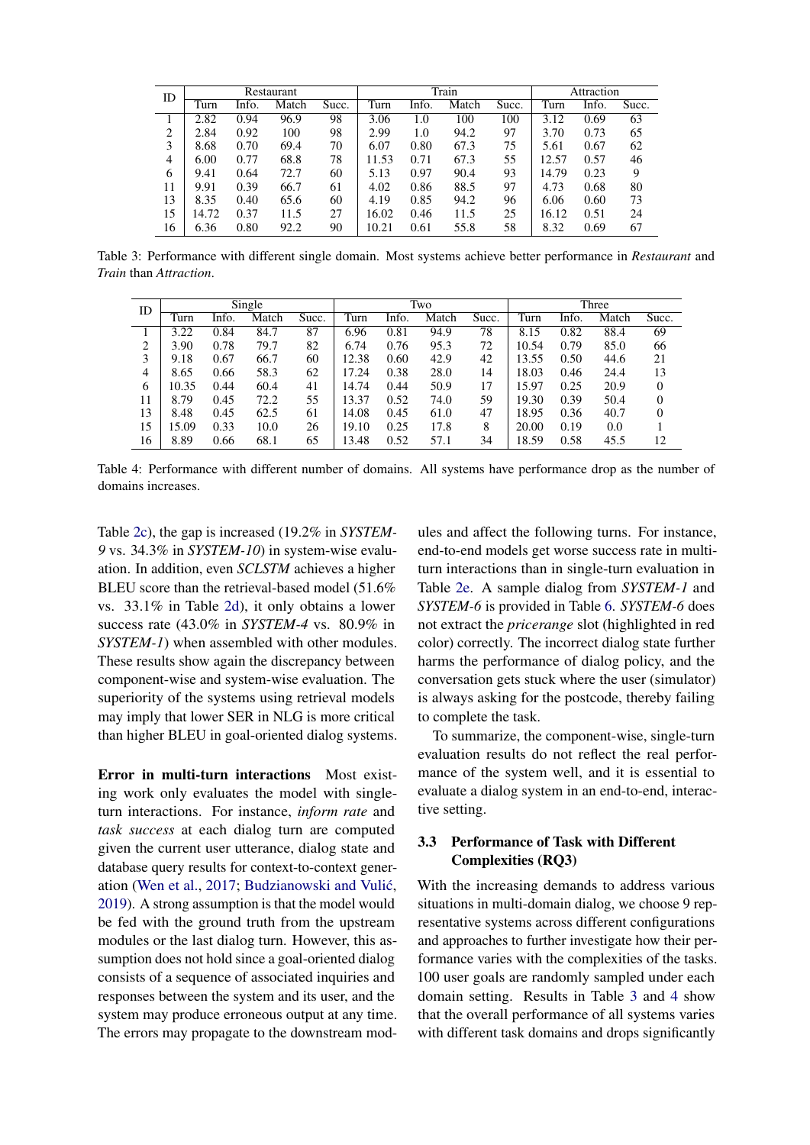<span id="page-6-1"></span>

| ID | Restaurant |       |       |       |       |       | Train | Attraction |       |       |       |
|----|------------|-------|-------|-------|-------|-------|-------|------------|-------|-------|-------|
|    | Turn       | Info. | Match | Succ. | Turn  | Info. | Match | Succ.      | Turn  | Info. | Succ. |
|    | 2.82       | 0.94  | 96.9  | 98    | 3.06  | 1.0   | 100   | 100        | 3.12  | 0.69  | 63    |
| 2  | 2.84       | 0.92  | 100   | 98    | 2.99  | 1.0   | 94.2  | 97         | 3.70  | 0.73  | 65    |
| 3  | 8.68       | 0.70  | 69.4  | 70    | 6.07  | 0.80  | 67.3  | 75         | 5.61  | 0.67  | 62    |
| 4  | 6.00       | 0.77  | 68.8  | 78    | 11.53 | 0.71  | 67.3  | 55         | 12.57 | 0.57  | 46    |
| 6  | 9.41       | 0.64  | 72.7  | 60    | 5.13  | 0.97  | 90.4  | 93         | 14.79 | 0.23  | 9     |
| 11 | 9.91       | 0.39  | 66.7  | 61    | 4.02  | 0.86  | 88.5  | 97         | 4.73  | 0.68  | 80    |
| 13 | 8.35       | 0.40  | 65.6  | 60    | 4.19  | 0.85  | 94.2  | 96         | 6.06  | 0.60  | 73    |
| 15 | 14.72      | 0.37  | 11.5  | 27    | 16.02 | 0.46  | 11.5  | 25         | 16.12 | 0.51  | 24    |
| 16 | 6.36       | 0.80  | 92.2  | 90    | 10.21 | 0.61  | 55.8  | 58         | 8.32  | 0.69  | 67    |

Table 3: Performance with different single domain. Most systems achieve better performance in *Restaurant* and *Train* than *Attraction*.

<span id="page-6-2"></span>

| ID | Single |       |       |       | Two   |       |       |       | Three |       |       |          |
|----|--------|-------|-------|-------|-------|-------|-------|-------|-------|-------|-------|----------|
|    | Turn   | Info. | Match | Succ. | Turn  | Info. | Match | Succ. | Turn  | Info. | Match | Succ.    |
|    | 3.22   | 0.84  | 84.7  | 87    | 6.96  | 0.81  | 94.9  | 78    | 8.15  | 0.82  | 88.4  | 69       |
| ∍  | 3.90   | 0.78  | 79.7  | 82    | 6.74  | 0.76  | 95.3  | 72    | 10.54 | 0.79  | 85.0  | 66       |
| 3  | 9.18   | 0.67  | 66.7  | 60    | 12.38 | 0.60  | 42.9  | 42    | 13.55 | 0.50  | 44.6  | 21       |
| 4  | 8.65   | 0.66  | 58.3  | 62    | 17.24 | 0.38  | 28.0  | 14    | 18.03 | 0.46  | 24.4  | 13       |
| 6  | 10.35  | 0.44  | 60.4  | 41    | 14.74 | 0.44  | 50.9  | 17    | 15.97 | 0.25  | 20.9  | $\Omega$ |
| 11 | 8.79   | 0.45  | 72.2  | 55    | 13.37 | 0.52  | 74.0  | 59    | 19.30 | 0.39  | 50.4  | 0        |
| 13 | 8.48   | 0.45  | 62.5  | 61    | 14.08 | 0.45  | 61.0  | 47    | 18.95 | 0.36  | 40.7  | 0        |
| 15 | 15.09  | 0.33  | 10.0  | 26    | 19.10 | 0.25  | 17.8  | 8     | 20.00 | 0.19  | 0.0   |          |
| 16 | 8.89   | 0.66  | 68.1  | 65    | 13.48 | 0.52  | 57.1  | 34    | 18.59 | 0.58  | 45.5  | 12       |

Table 4: Performance with different number of domains. All systems have performance drop as the number of domains increases.

Table [2c\)](#page-5-1), the gap is increased (19.2% in *SYSTEM-9* vs. 34.3% in *SYSTEM-10*) in system-wise evaluation. In addition, even *SCLSTM* achieves a higher BLEU score than the retrieval-based model (51.6% vs. 33.1% in Table [2d\)](#page-5-1), it only obtains a lower success rate (43.0% in *SYSTEM-4* vs. 80.9% in *SYSTEM-1*) when assembled with other modules. These results show again the discrepancy between component-wise and system-wise evaluation. The superiority of the systems using retrieval models may imply that lower SER in NLG is more critical than higher BLEU in goal-oriented dialog systems.

Error in multi-turn interactions Most existing work only evaluates the model with singleturn interactions. For instance, *inform rate* and *task success* at each dialog turn are computed given the current user utterance, dialog state and database query results for context-to-context gener-ation [\(Wen et al.,](#page-11-9) [2017;](#page-11-9) Budzianowski and Vulić, [2019\)](#page-9-6). A strong assumption is that the model would be fed with the ground truth from the upstream modules or the last dialog turn. However, this assumption does not hold since a goal-oriented dialog consists of a sequence of associated inquiries and responses between the system and its user, and the system may produce erroneous output at any time. The errors may propagate to the downstream mod-

ules and affect the following turns. For instance, end-to-end models get worse success rate in multiturn interactions than in single-turn evaluation in Table [2e.](#page-5-1) A sample dialog from *SYSTEM-1* and *SYSTEM-6* is provided in Table [6.](#page-12-0) *SYSTEM-6* does not extract the *pricerange* slot (highlighted in red color) correctly. The incorrect dialog state further harms the performance of dialog policy, and the conversation gets stuck where the user (simulator) is always asking for the postcode, thereby failing to complete the task.

To summarize, the component-wise, single-turn evaluation results do not reflect the real performance of the system well, and it is essential to evaluate a dialog system in an end-to-end, interactive setting.

# <span id="page-6-0"></span>3.3 Performance of Task with Different Complexities (RQ3)

With the increasing demands to address various situations in multi-domain dialog, we choose 9 representative systems across different configurations and approaches to further investigate how their performance varies with the complexities of the tasks. 100 user goals are randomly sampled under each domain setting. Results in Table [3](#page-6-1) and [4](#page-6-2) show that the overall performance of all systems varies with different task domains and drops significantly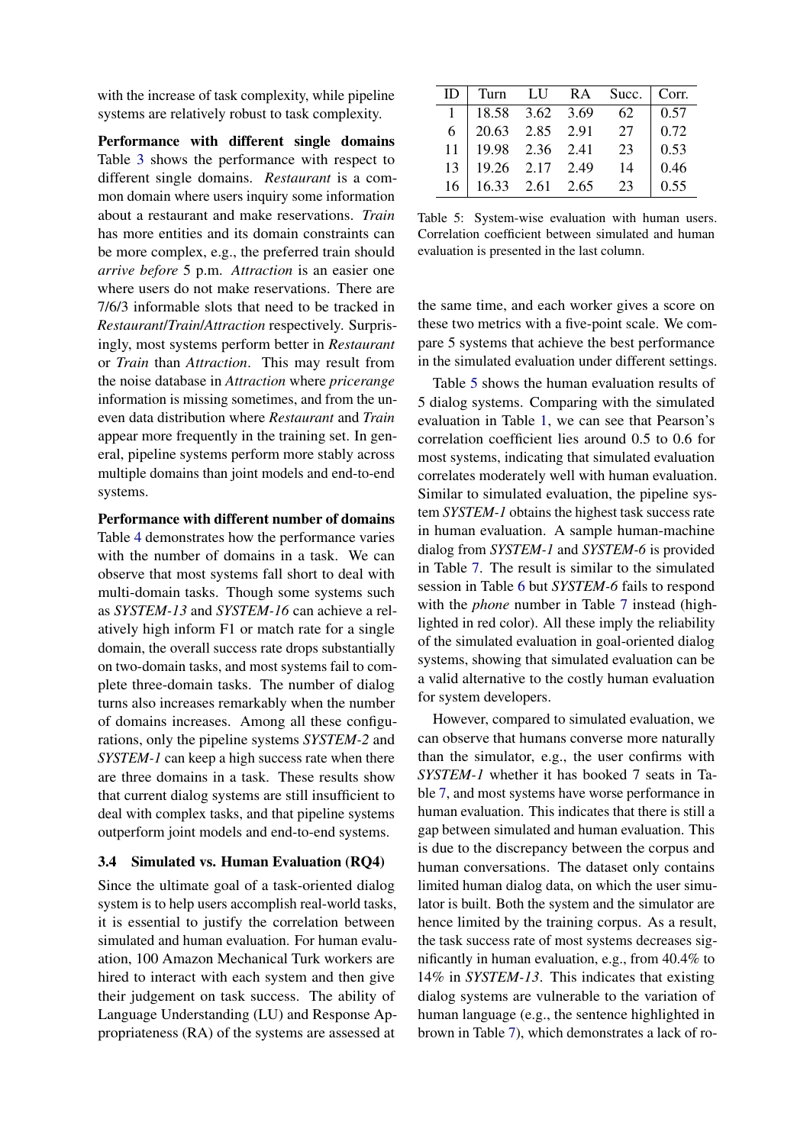with the increase of task complexity, while pipeline systems are relatively robust to task complexity.

Performance with different single domains Table [3](#page-6-1) shows the performance with respect to different single domains. *Restaurant* is a common domain where users inquiry some information about a restaurant and make reservations. *Train* has more entities and its domain constraints can be more complex, e.g., the preferred train should *arrive before* 5 p.m. *Attraction* is an easier one where users do not make reservations. There are 7/6/3 informable slots that need to be tracked in *Restaurant*/*Train*/*Attraction* respectively. Surprisingly, most systems perform better in *Restaurant* or *Train* than *Attraction*. This may result from the noise database in *Attraction* where *pricerange* information is missing sometimes, and from the uneven data distribution where *Restaurant* and *Train* appear more frequently in the training set. In general, pipeline systems perform more stably across multiple domains than joint models and end-to-end systems.

Performance with different number of domains Table [4](#page-6-2) demonstrates how the performance varies with the number of domains in a task. We can observe that most systems fall short to deal with multi-domain tasks. Though some systems such as *SYSTEM-13* and *SYSTEM-16* can achieve a relatively high inform F1 or match rate for a single domain, the overall success rate drops substantially on two-domain tasks, and most systems fail to complete three-domain tasks. The number of dialog turns also increases remarkably when the number of domains increases. Among all these configurations, only the pipeline systems *SYSTEM-2* and *SYSTEM-1* can keep a high success rate when there are three domains in a task. These results show that current dialog systems are still insufficient to deal with complex tasks, and that pipeline systems outperform joint models and end-to-end systems.

## <span id="page-7-0"></span>3.4 Simulated vs. Human Evaluation (RQ4)

Since the ultimate goal of a task-oriented dialog system is to help users accomplish real-world tasks, it is essential to justify the correlation between simulated and human evaluation. For human evaluation, 100 Amazon Mechanical Turk workers are hired to interact with each system and then give their judgement on task success. The ability of Language Understanding (LU) and Response Appropriateness (RA) of the systems are assessed at

<span id="page-7-1"></span>

| Ю  |                 |                 | Turn LU RA Succ. | Corr. |
|----|-----------------|-----------------|------------------|-------|
|    |                 | 18.58 3.62 3.69 | -62              | 0.57  |
| 6  | 20.63 2.85 2.91 |                 | 27               | 0.72  |
| 11 |                 | 19.98 2.36 2.41 | 23               | 0.53  |
| 13 |                 | 19.26 2.17 2.49 | 14               | 0.46  |
| 16 |                 | 16.33 2.61 2.65 | 23               | 0.55  |

Table 5: System-wise evaluation with human users. Correlation coefficient between simulated and human evaluation is presented in the last column.

the same time, and each worker gives a score on these two metrics with a five-point scale. We compare 5 systems that achieve the best performance in the simulated evaluation under different settings.

Table [5](#page-7-1) shows the human evaluation results of 5 dialog systems. Comparing with the simulated evaluation in Table [1,](#page-4-0) we can see that Pearson's correlation coefficient lies around 0.5 to 0.6 for most systems, indicating that simulated evaluation correlates moderately well with human evaluation. Similar to simulated evaluation, the pipeline system *SYSTEM-1* obtains the highest task success rate in human evaluation. A sample human-machine dialog from *SYSTEM-1* and *SYSTEM-6* is provided in Table [7.](#page-13-0) The result is similar to the simulated session in Table [6](#page-12-0) but *SYSTEM-6* fails to respond with the *phone* number in Table [7](#page-13-0) instead (highlighted in red color). All these imply the reliability of the simulated evaluation in goal-oriented dialog systems, showing that simulated evaluation can be a valid alternative to the costly human evaluation for system developers.

However, compared to simulated evaluation, we can observe that humans converse more naturally than the simulator, e.g., the user confirms with *SYSTEM-1* whether it has booked 7 seats in Table [7,](#page-13-0) and most systems have worse performance in human evaluation. This indicates that there is still a gap between simulated and human evaluation. This is due to the discrepancy between the corpus and human conversations. The dataset only contains limited human dialog data, on which the user simulator is built. Both the system and the simulator are hence limited by the training corpus. As a result, the task success rate of most systems decreases significantly in human evaluation, e.g., from 40.4% to 14% in *SYSTEM-13*. This indicates that existing dialog systems are vulnerable to the variation of human language (e.g., the sentence highlighted in brown in Table [7\)](#page-13-0), which demonstrates a lack of ro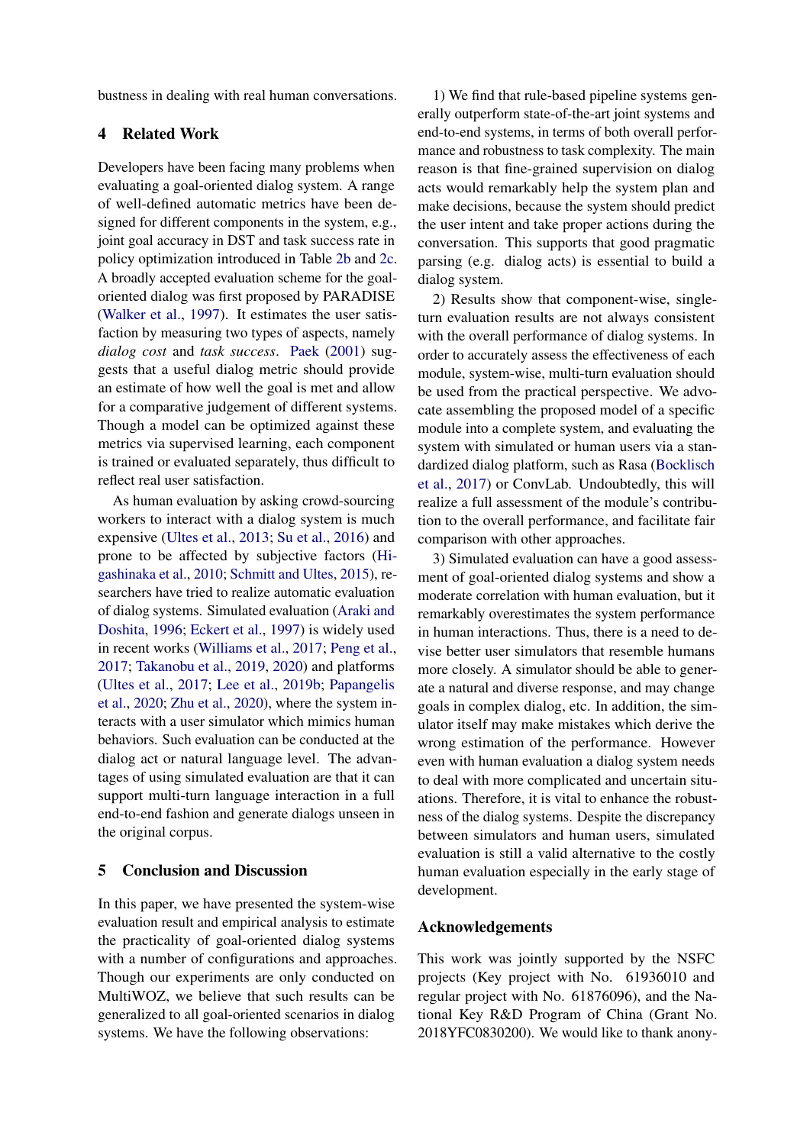bustness in dealing with real human conversations.

# 4 Related Work

Developers have been facing many problems when evaluating a goal-oriented dialog system. A range of well-defined automatic metrics have been designed for different components in the system, e.g., joint goal accuracy in DST and task success rate in policy optimization introduced in Table [2b](#page-5-1) and [2c.](#page-5-1) A broadly accepted evaluation scheme for the goaloriented dialog was first proposed by PARADISE [\(Walker et al.,](#page-11-11) [1997\)](#page-11-11). It estimates the user satisfaction by measuring two types of aspects, namely *dialog cost* and *task success*. [Paek](#page-10-15) [\(2001\)](#page-10-15) suggests that a useful dialog metric should provide an estimate of how well the goal is met and allow for a comparative judgement of different systems. Though a model can be optimized against these metrics via supervised learning, each component is trained or evaluated separately, thus difficult to reflect real user satisfaction.

As human evaluation by asking crowd-sourcing workers to interact with a dialog system is much expensive [\(Ultes et al.,](#page-11-12) [2013;](#page-11-12) [Su et al.,](#page-10-16) [2016\)](#page-10-16) and prone to be affected by subjective factors [\(Hi](#page-9-14)[gashinaka et al.,](#page-9-14) [2010;](#page-9-14) [Schmitt and Ultes,](#page-10-17) [2015\)](#page-10-17), researchers have tried to realize automatic evaluation of dialog systems. Simulated evaluation [\(Araki and](#page-9-15) [Doshita,](#page-9-15) [1996;](#page-9-15) [Eckert et al.,](#page-9-16) [1997\)](#page-9-16) is widely used in recent works [\(Williams et al.,](#page-11-4) [2017;](#page-11-4) [Peng et al.,](#page-10-2) [2017;](#page-10-2) [Takanobu et al.,](#page-11-2) [2019,](#page-11-2) [2020\)](#page-11-13) and platforms [\(Ultes et al.,](#page-11-14) [2017;](#page-11-14) [Lee et al.,](#page-10-8) [2019b;](#page-10-8) [Papangelis](#page-10-18) [et al.,](#page-10-18) [2020;](#page-10-18) [Zhu et al.,](#page-11-15) [2020\)](#page-11-15), where the system interacts with a user simulator which mimics human behaviors. Such evaluation can be conducted at the dialog act or natural language level. The advantages of using simulated evaluation are that it can support multi-turn language interaction in a full end-to-end fashion and generate dialogs unseen in the original corpus.

# 5 Conclusion and Discussion

In this paper, we have presented the system-wise evaluation result and empirical analysis to estimate the practicality of goal-oriented dialog systems with a number of configurations and approaches. Though our experiments are only conducted on MultiWOZ, we believe that such results can be generalized to all goal-oriented scenarios in dialog systems. We have the following observations:

1) We find that rule-based pipeline systems generally outperform state-of-the-art joint systems and end-to-end systems, in terms of both overall performance and robustness to task complexity. The main reason is that fine-grained supervision on dialog acts would remarkably help the system plan and make decisions, because the system should predict the user intent and take proper actions during the conversation. This supports that good pragmatic parsing (e.g. dialog acts) is essential to build a dialog system.

2) Results show that component-wise, singleturn evaluation results are not always consistent with the overall performance of dialog systems. In order to accurately assess the effectiveness of each module, system-wise, multi-turn evaluation should be used from the practical perspective. We advocate assembling the proposed model of a specific module into a complete system, and evaluating the system with simulated or human users via a standardized dialog platform, such as Rasa [\(Bocklisch](#page-9-17) [et al.,](#page-9-17) [2017\)](#page-9-17) or ConvLab. Undoubtedly, this will realize a full assessment of the module's contribution to the overall performance, and facilitate fair comparison with other approaches.

3) Simulated evaluation can have a good assessment of goal-oriented dialog systems and show a moderate correlation with human evaluation, but it remarkably overestimates the system performance in human interactions. Thus, there is a need to devise better user simulators that resemble humans more closely. A simulator should be able to generate a natural and diverse response, and may change goals in complex dialog, etc. In addition, the simulator itself may make mistakes which derive the wrong estimation of the performance. However even with human evaluation a dialog system needs to deal with more complicated and uncertain situations. Therefore, it is vital to enhance the robustness of the dialog systems. Despite the discrepancy between simulators and human users, simulated evaluation is still a valid alternative to the costly human evaluation especially in the early stage of development.

## Acknowledgements

This work was jointly supported by the NSFC projects (Key project with No. 61936010 and regular project with No. 61876096), and the National Key R&D Program of China (Grant No. 2018YFC0830200). We would like to thank anony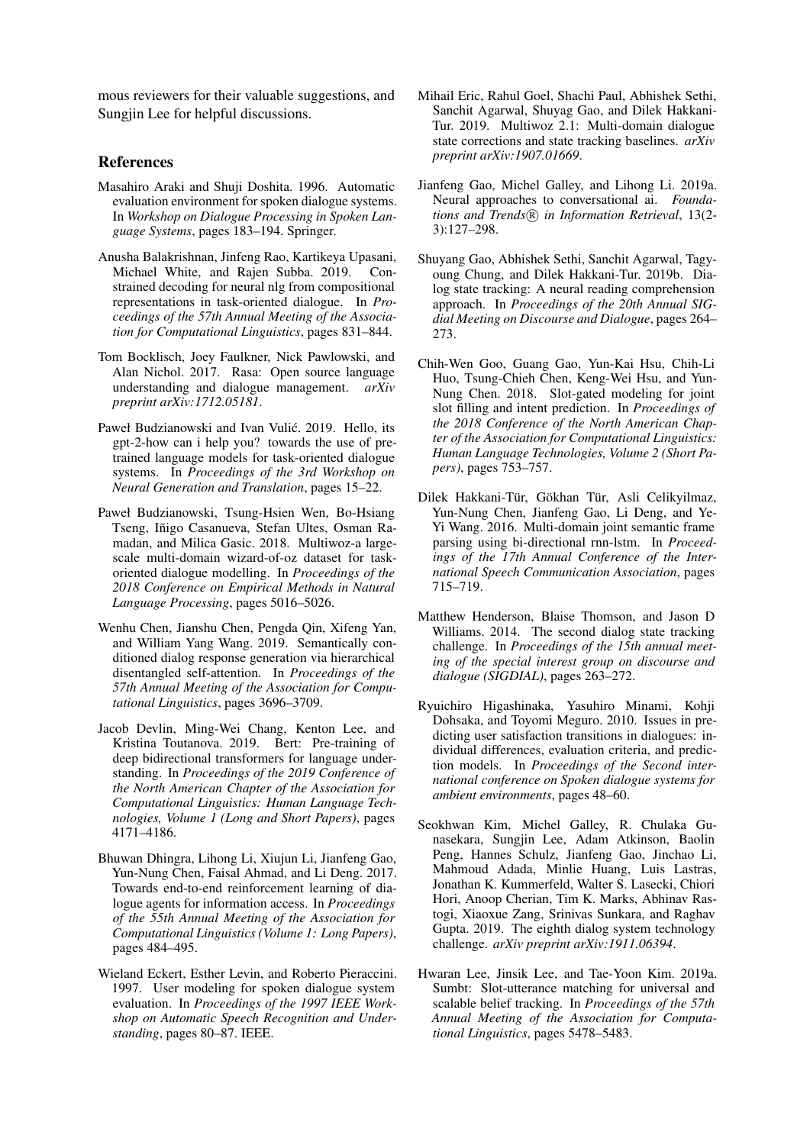mous reviewers for their valuable suggestions, and Sungjin Lee for helpful discussions.

#### References

- <span id="page-9-15"></span>Masahiro Araki and Shuji Doshita. 1996. Automatic evaluation environment for spoken dialogue systems. In *Workshop on Dialogue Processing in Spoken Language Systems*, pages 183–194. Springer.
- <span id="page-9-2"></span>Anusha Balakrishnan, Jinfeng Rao, Kartikeya Upasani, Michael White, and Rajen Subba. 2019. Constrained decoding for neural nlg from compositional representations in task-oriented dialogue. In *Proceedings of the 57th Annual Meeting of the Association for Computational Linguistics*, pages 831–844.
- <span id="page-9-17"></span>Tom Bocklisch, Joey Faulkner, Nick Pawlowski, and Alan Nichol. 2017. Rasa: Open source language understanding and dialogue management. *arXiv preprint arXiv:1712.05181*.
- <span id="page-9-6"></span>Paweł Budzianowski and Ivan Vulić. 2019. Hello, its gpt-2-how can i help you? towards the use of pretrained language models for task-oriented dialogue systems. In *Proceedings of the 3rd Workshop on Neural Generation and Translation*, pages 15–22.
- <span id="page-9-8"></span>Paweł Budzianowski, Tsung-Hsien Wen, Bo-Hsiang Tseng, Iñigo Casanueva, Stefan Ultes, Osman Ramadan, and Milica Gasic. 2018. Multiwoz-a largescale multi-domain wizard-of-oz dataset for taskoriented dialogue modelling. In *Proceedings of the 2018 Conference on Empirical Methods in Natural Language Processing*, pages 5016–5026.
- <span id="page-9-5"></span>Wenhu Chen, Jianshu Chen, Pengda Qin, Xifeng Yan, and William Yang Wang. 2019. Semantically conditioned dialog response generation via hierarchical disentangled self-attention. In *Proceedings of the 57th Annual Meeting of the Association for Computational Linguistics*, pages 3696–3709.
- <span id="page-9-10"></span>Jacob Devlin, Ming-Wei Chang, Kenton Lee, and Kristina Toutanova. 2019. Bert: Pre-training of deep bidirectional transformers for language understanding. In *Proceedings of the 2019 Conference of the North American Chapter of the Association for Computational Linguistics: Human Language Technologies, Volume 1 (Long and Short Papers)*, pages 4171–4186.
- <span id="page-9-3"></span>Bhuwan Dhingra, Lihong Li, Xiujun Li, Jianfeng Gao, Yun-Nung Chen, Faisal Ahmad, and Li Deng. 2017. Towards end-to-end reinforcement learning of dialogue agents for information access. In *Proceedings of the 55th Annual Meeting of the Association for Computational Linguistics (Volume 1: Long Papers)*, pages 484–495.
- <span id="page-9-16"></span>Wieland Eckert, Esther Levin, and Roberto Pieraccini. 1997. User modeling for spoken dialogue system evaluation. In *Proceedings of the 1997 IEEE Workshop on Automatic Speech Recognition and Understanding*, pages 80–87. IEEE.
- <span id="page-9-13"></span>Mihail Eric, Rahul Goel, Shachi Paul, Abhishek Sethi, Sanchit Agarwal, Shuyag Gao, and Dilek Hakkani-Tur. 2019. Multiwoz 2.1: Multi-domain dialogue state corrections and state tracking baselines. *arXiv preprint arXiv:1907.01669*.
- <span id="page-9-0"></span>Jianfeng Gao, Michel Galley, and Lihong Li. 2019a. Neural approaches to conversational ai. *Foundations and Trends*<sup>(R)</sup> in Information Retrieval, 13(2-3):127–298.
- <span id="page-9-4"></span>Shuyang Gao, Abhishek Sethi, Sanchit Agarwal, Tagyoung Chung, and Dilek Hakkani-Tur. 2019b. Dialog state tracking: A neural reading comprehension approach. In *Proceedings of the 20th Annual SIGdial Meeting on Discourse and Dialogue*, pages 264– 273.
- <span id="page-9-1"></span>Chih-Wen Goo, Guang Gao, Yun-Kai Hsu, Chih-Li Huo, Tsung-Chieh Chen, Keng-Wei Hsu, and Yun-Nung Chen. 2018. Slot-gated modeling for joint slot filling and intent prediction. In *Proceedings of the 2018 Conference of the North American Chapter of the Association for Computational Linguistics: Human Language Technologies, Volume 2 (Short Papers)*, pages 753–757.
- <span id="page-9-9"></span>Dilek Hakkani-Tür, Gökhan Tür, Asli Celikyilmaz, Yun-Nung Chen, Jianfeng Gao, Li Deng, and Ye-Yi Wang. 2016. Multi-domain joint semantic frame parsing using bi-directional rnn-lstm. In *Proceedings of the 17th Annual Conference of the International Speech Communication Association*, pages 715–719.
- <span id="page-9-12"></span>Matthew Henderson, Blaise Thomson, and Jason D Williams. 2014. The second dialog state tracking challenge. In *Proceedings of the 15th annual meeting of the special interest group on discourse and dialogue (SIGDIAL)*, pages 263–272.
- <span id="page-9-14"></span>Ryuichiro Higashinaka, Yasuhiro Minami, Kohji Dohsaka, and Toyomi Meguro. 2010. Issues in predicting user satisfaction transitions in dialogues: individual differences, evaluation criteria, and prediction models. In *Proceedings of the Second international conference on Spoken dialogue systems for ambient environments*, pages 48–60.
- <span id="page-9-7"></span>Seokhwan Kim, Michel Galley, R. Chulaka Gunasekara, Sungjin Lee, Adam Atkinson, Baolin Peng, Hannes Schulz, Jianfeng Gao, Jinchao Li, Mahmoud Adada, Minlie Huang, Luis Lastras, Jonathan K. Kummerfeld, Walter S. Lasecki, Chiori Hori, Anoop Cherian, Tim K. Marks, Abhinav Rastogi, Xiaoxue Zang, Srinivas Sunkara, and Raghav Gupta. 2019. The eighth dialog system technology challenge. *arXiv preprint arXiv:1911.06394*.
- <span id="page-9-11"></span>Hwaran Lee, Jinsik Lee, and Tae-Yoon Kim. 2019a. Sumbt: Slot-utterance matching for universal and scalable belief tracking. In *Proceedings of the 57th Annual Meeting of the Association for Computational Linguistics*, pages 5478–5483.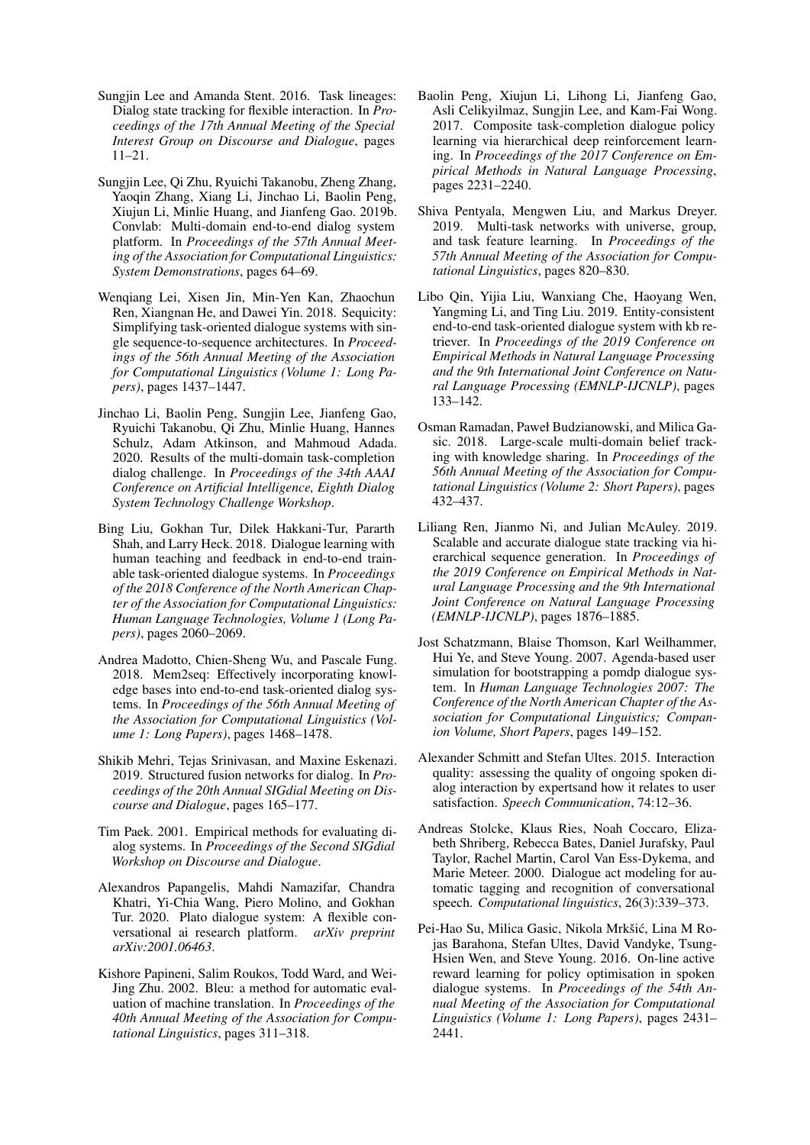- <span id="page-10-1"></span>Sungjin Lee and Amanda Stent. 2016. Task lineages: Dialog state tracking for flexible interaction. In *Proceedings of the 17th Annual Meeting of the Special Interest Group on Discourse and Dialogue*, pages 11–21.
- <span id="page-10-8"></span>Sungjin Lee, Qi Zhu, Ryuichi Takanobu, Zheng Zhang, Yaoqin Zhang, Xiang Li, Jinchao Li, Baolin Peng, Xiujun Li, Minlie Huang, and Jianfeng Gao. 2019b. Convlab: Multi-domain end-to-end dialog system platform. In *Proceedings of the 57th Annual Meeting of the Association for Computational Linguistics: System Demonstrations*, pages 64–69.
- <span id="page-10-4"></span>Wenqiang Lei, Xisen Jin, Min-Yen Kan, Zhaochun Ren, Xiangnan He, and Dawei Yin. 2018. Sequicity: Simplifying task-oriented dialogue systems with single sequence-to-sequence architectures. In *Proceedings of the 56th Annual Meeting of the Association for Computational Linguistics (Volume 1: Long Papers)*, pages 1437–1447.
- <span id="page-10-7"></span>Jinchao Li, Baolin Peng, Sungjin Lee, Jianfeng Gao, Ryuichi Takanobu, Qi Zhu, Minlie Huang, Hannes Schulz, Adam Atkinson, and Mahmoud Adada. 2020. Results of the multi-domain task-completion dialog challenge. In *Proceedings of the 34th AAAI Conference on Artificial Intelligence, Eighth Dialog System Technology Challenge Workshop*.
- <span id="page-10-3"></span>Bing Liu, Gokhan Tur, Dilek Hakkani-Tur, Pararth Shah, and Larry Heck. 2018. Dialogue learning with human teaching and feedback in end-to-end trainable task-oriented dialogue systems. In *Proceedings of the 2018 Conference of the North American Chapter of the Association for Computational Linguistics: Human Language Technologies, Volume 1 (Long Papers)*, pages 2060–2069.
- <span id="page-10-14"></span>Andrea Madotto, Chien-Sheng Wu, and Pascale Fung. 2018. Mem2seq: Effectively incorporating knowledge bases into end-to-end task-oriented dialog systems. In *Proceedings of the 56th Annual Meeting of the Association for Computational Linguistics (Volume 1: Long Papers)*, pages 1468–1478.
- <span id="page-10-6"></span>Shikib Mehri, Tejas Srinivasan, and Maxine Eskenazi. 2019. Structured fusion networks for dialog. In *Proceedings of the 20th Annual SIGdial Meeting on Discourse and Dialogue*, pages 165–177.
- <span id="page-10-15"></span>Tim Paek. 2001. Empirical methods for evaluating dialog systems. In *Proceedings of the Second SIGdial Workshop on Discourse and Dialogue*.
- <span id="page-10-18"></span>Alexandros Papangelis, Mahdi Namazifar, Chandra Khatri, Yi-Chia Wang, Piero Molino, and Gokhan Tur. 2020. Plato dialogue system: A flexible conversational ai research platform. *arXiv preprint arXiv:2001.06463*.
- <span id="page-10-13"></span>Kishore Papineni, Salim Roukos, Todd Ward, and Wei-Jing Zhu. 2002. Bleu: a method for automatic evaluation of machine translation. In *Proceedings of the 40th Annual Meeting of the Association for Computational Linguistics*, pages 311–318.
- <span id="page-10-2"></span>Baolin Peng, Xiujun Li, Lihong Li, Jianfeng Gao, Asli Celikyilmaz, Sungjin Lee, and Kam-Fai Wong. 2017. Composite task-completion dialogue policy learning via hierarchical deep reinforcement learning. In *Proceedings of the 2017 Conference on Empirical Methods in Natural Language Processing*, pages 2231–2240.
- <span id="page-10-0"></span>Shiva Pentyala, Mengwen Liu, and Markus Dreyer. 2019. Multi-task networks with universe, group, and task feature learning. In *Proceedings of the 57th Annual Meeting of the Association for Computational Linguistics*, pages 820–830.
- <span id="page-10-5"></span>Libo Qin, Yijia Liu, Wanxiang Che, Haoyang Wen, Yangming Li, and Ting Liu. 2019. Entity-consistent end-to-end task-oriented dialogue system with kb retriever. In *Proceedings of the 2019 Conference on Empirical Methods in Natural Language Processing and the 9th International Joint Conference on Natural Language Processing (EMNLP-IJCNLP)*, pages 133–142.
- <span id="page-10-11"></span>Osman Ramadan, Paweł Budzianowski, and Milica Gasic. 2018. Large-scale multi-domain belief tracking with knowledge sharing. In *Proceedings of the 56th Annual Meeting of the Association for Computational Linguistics (Volume 2: Short Papers)*, pages 432–437.
- <span id="page-10-12"></span>Liliang Ren, Jianmo Ni, and Julian McAuley. 2019. Scalable and accurate dialogue state tracking via hierarchical sequence generation. In *Proceedings of the 2019 Conference on Empirical Methods in Natural Language Processing and the 9th International Joint Conference on Natural Language Processing (EMNLP-IJCNLP)*, pages 1876–1885.
- <span id="page-10-9"></span>Jost Schatzmann, Blaise Thomson, Karl Weilhammer, Hui Ye, and Steve Young. 2007. Agenda-based user simulation for bootstrapping a pomdp dialogue system. In *Human Language Technologies 2007: The Conference of the North American Chapter of the Association for Computational Linguistics; Companion Volume, Short Papers*, pages 149–152.
- <span id="page-10-17"></span>Alexander Schmitt and Stefan Ultes. 2015. Interaction quality: assessing the quality of ongoing spoken dialog interaction by expertsand how it relates to user satisfaction. *Speech Communication*, 74:12–36.
- <span id="page-10-10"></span>Andreas Stolcke, Klaus Ries, Noah Coccaro, Elizabeth Shriberg, Rebecca Bates, Daniel Jurafsky, Paul Taylor, Rachel Martin, Carol Van Ess-Dykema, and Marie Meteer. 2000. Dialogue act modeling for automatic tagging and recognition of conversational speech. *Computational linguistics*, 26(3):339–373.
- <span id="page-10-16"></span>Pei-Hao Su, Milica Gasic, Nikola Mrkšić, Lina M Rojas Barahona, Stefan Ultes, David Vandyke, Tsung-Hsien Wen, and Steve Young. 2016. On-line active reward learning for policy optimisation in spoken dialogue systems. In *Proceedings of the 54th Annual Meeting of the Association for Computational Linguistics (Volume 1: Long Papers)*, pages 2431– 2441.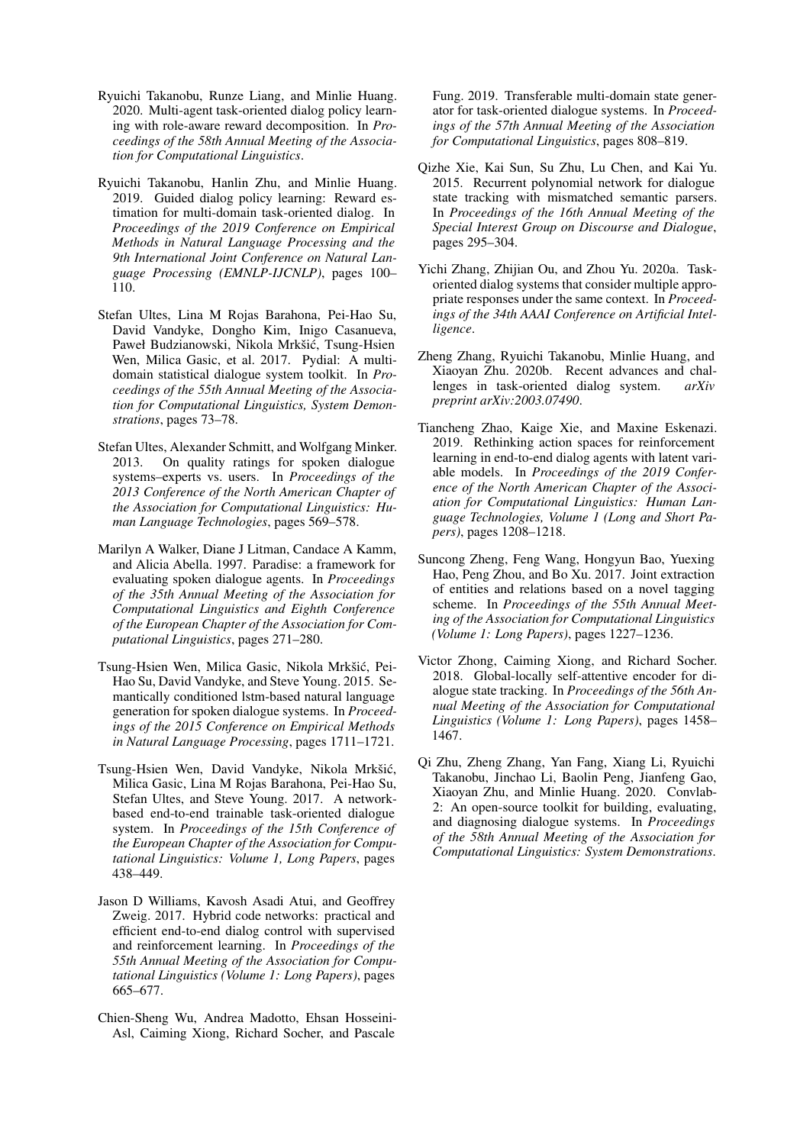- <span id="page-11-13"></span>Ryuichi Takanobu, Runze Liang, and Minlie Huang. 2020. Multi-agent task-oriented dialog policy learning with role-aware reward decomposition. In *Proceedings of the 58th Annual Meeting of the Association for Computational Linguistics*.
- <span id="page-11-2"></span>Ryuichi Takanobu, Hanlin Zhu, and Minlie Huang. 2019. Guided dialog policy learning: Reward estimation for multi-domain task-oriented dialog. In *Proceedings of the 2019 Conference on Empirical Methods in Natural Language Processing and the 9th International Joint Conference on Natural Language Processing (EMNLP-IJCNLP)*, pages 100– 110.
- <span id="page-11-14"></span>Stefan Ultes, Lina M Rojas Barahona, Pei-Hao Su, David Vandyke, Dongho Kim, Inigo Casanueva, Paweł Budzianowski, Nikola Mrkšić, Tsung-Hsien Wen, Milica Gasic, et al. 2017. Pydial: A multidomain statistical dialogue system toolkit. In *Proceedings of the 55th Annual Meeting of the Association for Computational Linguistics, System Demonstrations*, pages 73–78.
- <span id="page-11-12"></span>Stefan Ultes, Alexander Schmitt, and Wolfgang Minker. 2013. On quality ratings for spoken dialogue systems–experts vs. users. In *Proceedings of the 2013 Conference of the North American Chapter of the Association for Computational Linguistics: Human Language Technologies*, pages 569–578.
- <span id="page-11-11"></span>Marilyn A Walker, Diane J Litman, Candace A Kamm, and Alicia Abella. 1997. Paradise: a framework for evaluating spoken dialogue agents. In *Proceedings of the 35th Annual Meeting of the Association for Computational Linguistics and Eighth Conference of the European Chapter of the Association for Computational Linguistics*, pages 271–280.
- <span id="page-11-3"></span>Tsung-Hsien Wen, Milica Gasic, Nikola Mrkšić, Pei-Hao Su, David Vandyke, and Steve Young. 2015. Semantically conditioned lstm-based natural language generation for spoken dialogue systems. In *Proceedings of the 2015 Conference on Empirical Methods in Natural Language Processing*, pages 1711–1721.
- <span id="page-11-9"></span>Tsung-Hsien Wen, David Vandyke, Nikola Mrkšić, Milica Gasic, Lina M Rojas Barahona, Pei-Hao Su, Stefan Ultes, and Steve Young. 2017. A networkbased end-to-end trainable task-oriented dialogue system. In *Proceedings of the 15th Conference of the European Chapter of the Association for Computational Linguistics: Volume 1, Long Papers*, pages 438–449.
- <span id="page-11-4"></span>Jason D Williams, Kavosh Asadi Atui, and Geoffrey Zweig. 2017. Hybrid code networks: practical and efficient end-to-end dialog control with supervised and reinforcement learning. In *Proceedings of the 55th Annual Meeting of the Association for Computational Linguistics (Volume 1: Long Papers)*, pages 665–677.
- <span id="page-11-6"></span>Chien-Sheng Wu, Andrea Madotto, Ehsan Hosseini-Asl, Caiming Xiong, Richard Socher, and Pascale

Fung. 2019. Transferable multi-domain state generator for task-oriented dialogue systems. In *Proceedings of the 57th Annual Meeting of the Association for Computational Linguistics*, pages 808–819.

- <span id="page-11-1"></span>Qizhe Xie, Kai Sun, Su Zhu, Lu Chen, and Kai Yu. 2015. Recurrent polynomial network for dialogue state tracking with mismatched semantic parsers. In *Proceedings of the 16th Annual Meeting of the Special Interest Group on Discourse and Dialogue*, pages 295–304.
- <span id="page-11-10"></span>Yichi Zhang, Zhijian Ou, and Zhou Yu. 2020a. Taskoriented dialog systems that consider multiple appropriate responses under the same context. In *Proceedings of the 34th AAAI Conference on Artificial Intelligence*.
- <span id="page-11-0"></span>Zheng Zhang, Ryuichi Takanobu, Minlie Huang, and Xiaoyan Zhu. 2020b. Recent advances and challenges in task-oriented dialog system. *arXiv preprint arXiv:2003.07490*.
- <span id="page-11-7"></span>Tiancheng Zhao, Kaige Xie, and Maxine Eskenazi. 2019. Rethinking action spaces for reinforcement learning in end-to-end dialog agents with latent variable models. In *Proceedings of the 2019 Conference of the North American Chapter of the Association for Computational Linguistics: Human Language Technologies, Volume 1 (Long and Short Papers)*, pages 1208–1218.
- <span id="page-11-8"></span>Suncong Zheng, Feng Wang, Hongyun Bao, Yuexing Hao, Peng Zhou, and Bo Xu. 2017. Joint extraction of entities and relations based on a novel tagging scheme. In *Proceedings of the 55th Annual Meeting of the Association for Computational Linguistics (Volume 1: Long Papers)*, pages 1227–1236.
- <span id="page-11-5"></span>Victor Zhong, Caiming Xiong, and Richard Socher. 2018. Global-locally self-attentive encoder for dialogue state tracking. In *Proceedings of the 56th Annual Meeting of the Association for Computational Linguistics (Volume 1: Long Papers)*, pages 1458– 1467.
- <span id="page-11-15"></span>Qi Zhu, Zheng Zhang, Yan Fang, Xiang Li, Ryuichi Takanobu, Jinchao Li, Baolin Peng, Jianfeng Gao, Xiaoyan Zhu, and Minlie Huang. 2020. Convlab-2: An open-source toolkit for building, evaluating, and diagnosing dialogue systems. In *Proceedings of the 58th Annual Meeting of the Association for Computational Linguistics: System Demonstrations*.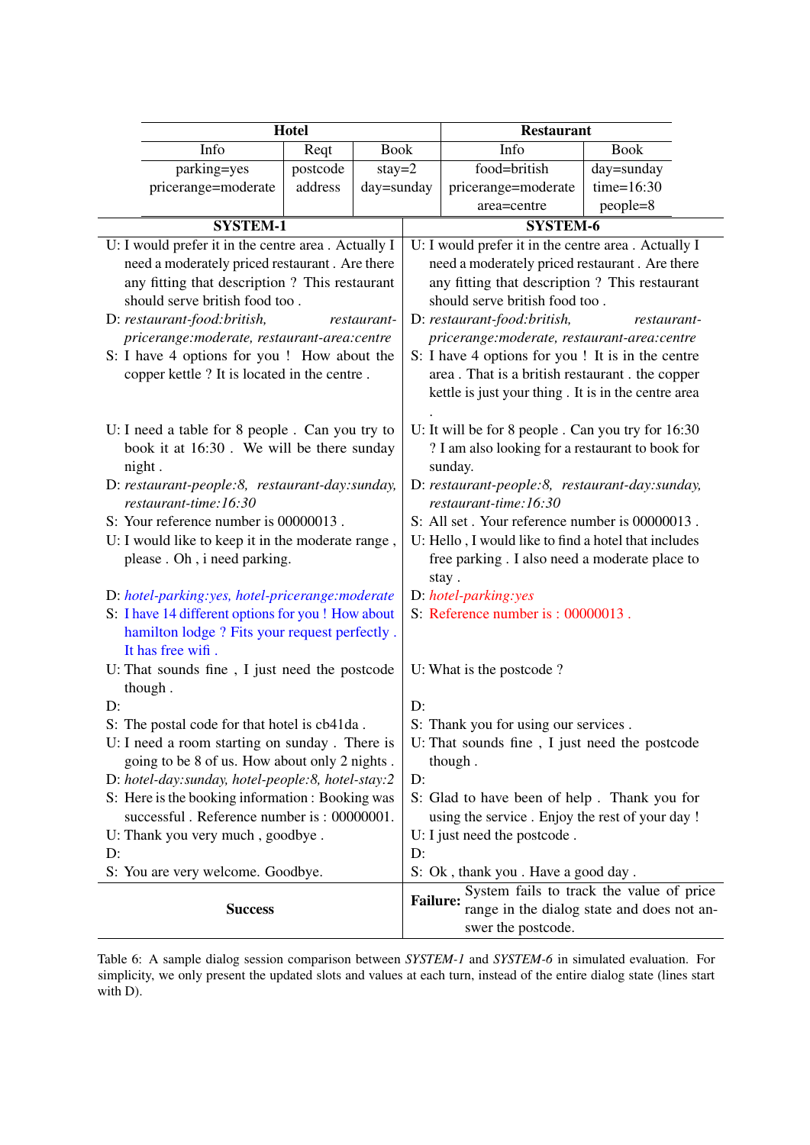<span id="page-12-0"></span>

|                                                                                             | Hotel                                            |             | <b>Restaurant</b>                                         |                                                                                                        |                                             |  |  |  |
|---------------------------------------------------------------------------------------------|--------------------------------------------------|-------------|-----------------------------------------------------------|--------------------------------------------------------------------------------------------------------|---------------------------------------------|--|--|--|
| Info                                                                                        | Reqt                                             | <b>Book</b> |                                                           | Info                                                                                                   | <b>Book</b>                                 |  |  |  |
| parking=yes                                                                                 | postcode                                         | $stay=2$    |                                                           | food=british                                                                                           | day=sunday                                  |  |  |  |
| pricerange=moderate                                                                         | address                                          | day=sunday  |                                                           | pricerange=moderate                                                                                    | $time=16:30$                                |  |  |  |
|                                                                                             |                                                  |             |                                                           | area=centre                                                                                            | people=8                                    |  |  |  |
| <b>SYSTEM-1</b>                                                                             |                                                  |             |                                                           | <b>SYSTEM-6</b>                                                                                        |                                             |  |  |  |
| U: I would prefer it in the centre area . Actually I                                        |                                                  |             |                                                           | U: I would prefer it in the centre area . Actually I                                                   |                                             |  |  |  |
| need a moderately priced restaurant. Are there                                              |                                                  |             |                                                           | need a moderately priced restaurant. Are there                                                         |                                             |  |  |  |
| any fitting that description ? This restaurant                                              |                                                  |             |                                                           | any fitting that description ? This restaurant                                                         |                                             |  |  |  |
| should serve british food too.                                                              |                                                  |             |                                                           | should serve british food too.                                                                         |                                             |  |  |  |
| D: restaurant-food: british,                                                                |                                                  | restaurant- |                                                           | D: restaurant-food: british,                                                                           | restaurant-                                 |  |  |  |
| pricerange:moderate, restaurant-area:centre                                                 |                                                  |             |                                                           | pricerange:moderate, restaurant-area:centre                                                            |                                             |  |  |  |
| S: I have 4 options for you ! How about the                                                 |                                                  |             |                                                           | S: I have 4 options for you ! It is in the centre                                                      |                                             |  |  |  |
| copper kettle ? It is located in the centre.                                                |                                                  |             |                                                           | area. That is a british restaurant. the copper                                                         |                                             |  |  |  |
|                                                                                             |                                                  |             |                                                           | kettle is just your thing. It is in the centre area                                                    |                                             |  |  |  |
|                                                                                             |                                                  |             |                                                           |                                                                                                        |                                             |  |  |  |
| U: I need a table for 8 people. Can you try to<br>book it at 16:30. We will be there sunday |                                                  |             |                                                           | U: It will be for 8 people . Can you try for 16:30<br>? I am also looking for a restaurant to book for |                                             |  |  |  |
|                                                                                             |                                                  |             |                                                           |                                                                                                        |                                             |  |  |  |
| night.<br>D: restaurant-people:8, restaurant-day:sunday,                                    |                                                  |             | sunday.<br>D: restaurant-people:8, restaurant-day:sunday, |                                                                                                        |                                             |  |  |  |
| restaurant-time:16:30                                                                       |                                                  |             | restaurant-time:16:30                                     |                                                                                                        |                                             |  |  |  |
| S: Your reference number is 00000013.                                                       |                                                  |             | S: All set. Your reference number is 00000013.            |                                                                                                        |                                             |  |  |  |
| U: I would like to keep it in the moderate range,                                           |                                                  |             | U: Hello, I would like to find a hotel that includes      |                                                                                                        |                                             |  |  |  |
| please . Oh, i need parking.                                                                |                                                  |             | free parking. I also need a moderate place to             |                                                                                                        |                                             |  |  |  |
|                                                                                             |                                                  |             | stay.                                                     |                                                                                                        |                                             |  |  |  |
| D: hotel-parking:yes, hotel-pricerange:moderate                                             |                                                  |             | D: hotel-parking:yes                                      |                                                                                                        |                                             |  |  |  |
| S: I have 14 different options for you ! How about                                          |                                                  |             | S: Reference number is : 00000013.                        |                                                                                                        |                                             |  |  |  |
| hamilton lodge ? Fits your request perfectly.                                               |                                                  |             |                                                           |                                                                                                        |                                             |  |  |  |
| It has free wifi.                                                                           |                                                  |             |                                                           |                                                                                                        |                                             |  |  |  |
| U: That sounds fine, I just need the postcode                                               |                                                  |             |                                                           | U: What is the postcode?                                                                               |                                             |  |  |  |
| though.                                                                                     |                                                  |             |                                                           |                                                                                                        |                                             |  |  |  |
| D:                                                                                          |                                                  |             | D:                                                        |                                                                                                        |                                             |  |  |  |
| S: The postal code for that hotel is cb41da.                                                |                                                  |             | S: Thank you for using our services                       |                                                                                                        |                                             |  |  |  |
| U: I need a room starting on sunday. There is                                               |                                                  |             |                                                           | U: That sounds fine, I just need the postcode                                                          |                                             |  |  |  |
| going to be 8 of us. How about only 2 nights.                                               |                                                  |             |                                                           | though.                                                                                                |                                             |  |  |  |
| D: hotel-day: sunday, hotel-people: 8, hotel-stay: 2                                        |                                                  |             | D:                                                        |                                                                                                        |                                             |  |  |  |
|                                                                                             | S: Here is the booking information : Booking was |             |                                                           |                                                                                                        | S: Glad to have been of help. Thank you for |  |  |  |
| successful. Reference number is: 00000001.                                                  |                                                  |             |                                                           | using the service. Enjoy the rest of your day !                                                        |                                             |  |  |  |
| U: Thank you very much, goodbye.<br>D:                                                      |                                                  |             |                                                           | U: I just need the postcode.                                                                           |                                             |  |  |  |
| S: You are very welcome. Goodbye.                                                           |                                                  |             | D:<br>S: Ok, thank you. Have a good day.                  |                                                                                                        |                                             |  |  |  |
|                                                                                             |                                                  |             |                                                           |                                                                                                        | System fails to track the value of price    |  |  |  |
| <b>Success</b>                                                                              |                                                  |             | <b>Failure:</b>                                           |                                                                                                        | range in the dialog state and does not an-  |  |  |  |
|                                                                                             |                                                  |             |                                                           | swer the postcode.                                                                                     |                                             |  |  |  |

Table 6: A sample dialog session comparison between *SYSTEM-1* and *SYSTEM-6* in simulated evaluation. For simplicity, we only present the updated slots and values at each turn, instead of the entire dialog state (lines start with D).